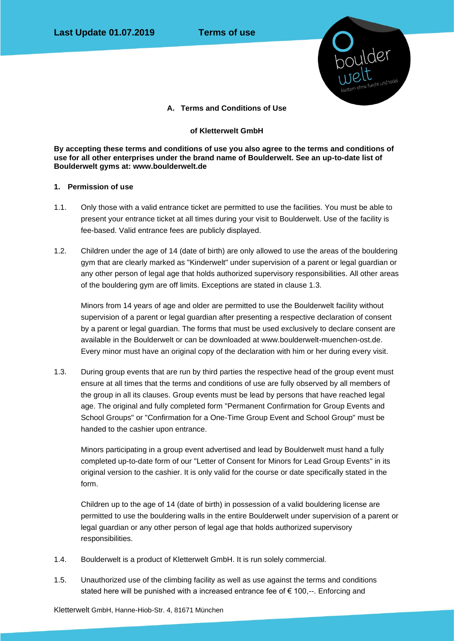

**A. Terms and Conditions of Use**

### **of Kletterwelt GmbH**

**By accepting these terms and conditions of use you also agree to the terms and conditions of use for all other enterprises under the brand name of Boulderwelt. See an up-to-date list of Boulderwelt gyms at: www.boulderwelt.de**

### **1. Permission of use**

- 1.1. Only those with a valid entrance ticket are permitted to use the facilities. You must be able to present your entrance ticket at all times during your visit to Boulderwelt. Use of the facility is fee-based. Valid entrance fees are publicly displayed.
- 1.2. Children under the age of 14 (date of birth) are only allowed to use the areas of the bouldering gym that are clearly marked as "Kinderwelt" under supervision of a parent or legal guardian or any other person of legal age that holds authorized supervisory responsibilities. All other areas of the bouldering gym are off limits. Exceptions are stated in clause 1.3.

Minors from 14 years of age and older are permitted to use the Boulderwelt facility without supervision of a parent or legal guardian after presenting a respective declaration of consent by a parent or legal guardian. The forms that must be used exclusively to declare consent are available in the Boulderwelt or can be downloaded at www.boulderwelt-muenchen-ost.de. Every minor must have an original copy of the declaration with him or her during every visit.

1.3. During group events that are run by third parties the respective head of the group event must ensure at all times that the terms and conditions of use are fully observed by all members of the group in all its clauses. Group events must be lead by persons that have reached legal age. The original and fully completed form "Permanent Confirmation for Group Events and School Groups" or "Confirmation for a One-Time Group Event and School Group" must be handed to the cashier upon entrance.

Minors participating in a group event advertised and lead by Boulderwelt must hand a fully completed up-to-date form of our "Letter of Consent for Minors for Lead Group Events" in its original version to the cashier. It is only valid for the course or date specifically stated in the form.

Children up to the age of 14 (date of birth) in possession of a valid bouldering license are permitted to use the bouldering walls in the entire Boulderwelt under supervision of a parent or legal guardian or any other person of legal age that holds authorized supervisory responsibilities.

- 1.4. Boulderwelt is a product of Kletterwelt GmbH. It is run solely commercial.
- 1.5. Unauthorized use of the climbing facility as well as use against the terms and conditions stated here will be punished with a increased entrance fee of € 100,--. Enforcing and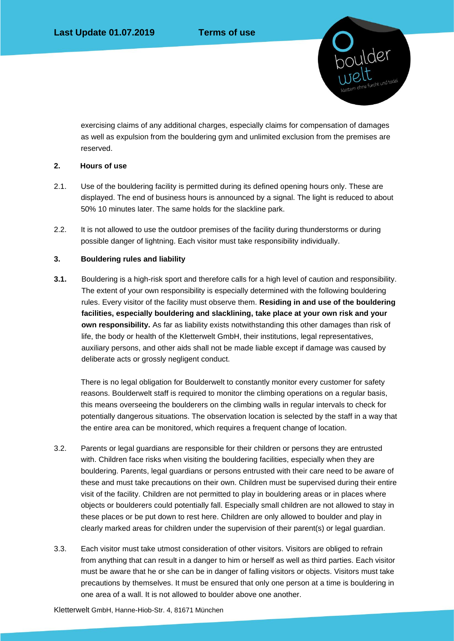boulder<br>welt

exercising claims of any additional charges, especially claims for compensation of damages as well as expulsion from the bouldering gym and unlimited exclusion from the premises are reserved.

# **2. Hours of use**

- 2.1. Use of the bouldering facility is permitted during its defined opening hours only. These are displayed. The end of business hours is announced by a signal. The light is reduced to about 50% 10 minutes later. The same holds for the slackline park.
- 2.2. It is not allowed to use the outdoor premises of the facility during thunderstorms or during possible danger of lightning. Each visitor must take responsibility individually.

# **3. Bouldering rules and liability**

**3.1.** Bouldering is a high-risk sport and therefore calls for a high level of caution and responsibility. The extent of your own responsibility is especially determined with the following bouldering rules. Every visitor of the facility must observe them. **Residing in and use of the bouldering facilities, especially bouldering and slacklining, take place at your own risk and your own responsibility.** As far as liability exists notwithstanding this other damages than risk of life, the body or health of the Kletterwelt GmbH, their institutions, legal representatives, auxiliary persons, and other aids shall not be made liable except if damage was caused by deliberate acts or grossly negligent conduct.

There is no legal obligation for Boulderwelt to constantly monitor every customer for safety reasons. Boulderwelt staff is required to monitor the climbing operations on a regular basis, this means overseeing the boulderers on the climbing walls in regular intervals to check for potentially dangerous situations. The observation location is selected by the staff in a way that the entire area can be monitored, which requires a frequent change of location.

- 3.2. Parents or legal guardians are responsible for their children or persons they are entrusted with. Children face risks when visiting the bouldering facilities, especially when they are bouldering. Parents, legal guardians or persons entrusted with their care need to be aware of these and must take precautions on their own. Children must be supervised during their entire visit of the facility. Children are not permitted to play in bouldering areas or in places where objects or boulderers could potentially fall. Especially small children are not allowed to stay in these places or be put down to rest here. Children are only allowed to boulder and play in clearly marked areas for children under the supervision of their parent(s) or legal guardian.
- 3.3. Each visitor must take utmost consideration of other visitors. Visitors are obliged to refrain from anything that can result in a danger to him or herself as well as third parties. Each visitor must be aware that he or she can be in danger of falling visitors or objects. Visitors must take precautions by themselves. It must be ensured that only one person at a time is bouldering in one area of a wall. It is not allowed to boulder above one another.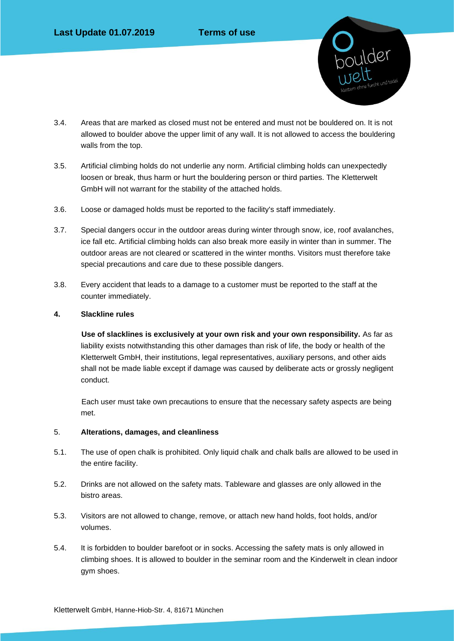

- 3.4. Areas that are marked as closed must not be entered and must not be bouldered on. It is not allowed to boulder above the upper limit of any wall. It is not allowed to access the bouldering walls from the top.
- 3.5. Artificial climbing holds do not underlie any norm. Artificial climbing holds can unexpectedly loosen or break, thus harm or hurt the bouldering person or third parties. The Kletterwelt GmbH will not warrant for the stability of the attached holds.
- 3.6. Loose or damaged holds must be reported to the facility's staff immediately.
- 3.7. Special dangers occur in the outdoor areas during winter through snow, ice, roof avalanches, ice fall etc. Artificial climbing holds can also break more easily in winter than in summer. The outdoor areas are not cleared or scattered in the winter months. Visitors must therefore take special precautions and care due to these possible dangers.
- 3.8. Every accident that leads to a damage to a customer must be reported to the staff at the counter immediately.

# **4. Slackline rules**

**Use of slacklines is exclusively at your own risk and your own responsibility.** As far as liability exists notwithstanding this other damages than risk of life, the body or health of the Kletterwelt GmbH, their institutions, legal representatives, auxiliary persons, and other aids shall not be made liable except if damage was caused by deliberate acts or grossly negligent conduct.

Each user must take own precautions to ensure that the necessary safety aspects are being met.

# 5. **Alterations, damages, and cleanliness**

- 5.1. The use of open chalk is prohibited. Only liquid chalk and chalk balls are allowed to be used in the entire facility.
- 5.2. Drinks are not allowed on the safety mats. Tableware and glasses are only allowed in the bistro areas.
- 5.3. Visitors are not allowed to change, remove, or attach new hand holds, foot holds, and/or volumes.
- 5.4. It is forbidden to boulder barefoot or in socks. Accessing the safety mats is only allowed in climbing shoes. It is allowed to boulder in the seminar room and the Kinderwelt in clean indoor gym shoes.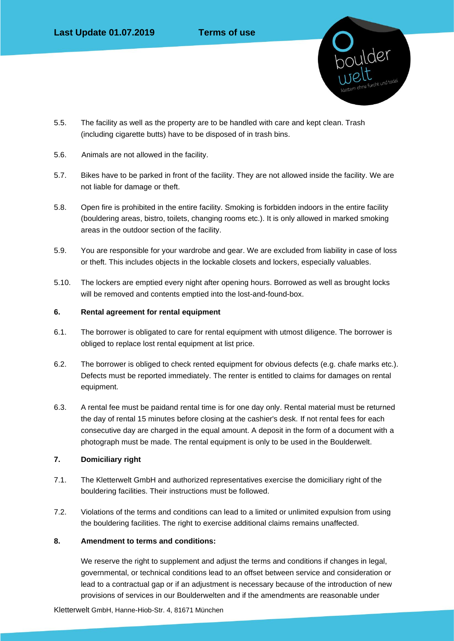

- 5.5. The facility as well as the property are to be handled with care and kept clean. Trash (including cigarette butts) have to be disposed of in trash bins.
- 5.6. Animals are not allowed in the facility.
- 5.7. Bikes have to be parked in front of the facility. They are not allowed inside the facility. We are not liable for damage or theft.
- 5.8. Open fire is prohibited in the entire facility. Smoking is forbidden indoors in the entire facility (bouldering areas, bistro, toilets, changing rooms etc.). It is only allowed in marked smoking areas in the outdoor section of the facility.
- 5.9. You are responsible for your wardrobe and gear. We are excluded from liability in case of loss or theft. This includes objects in the lockable closets and lockers, especially valuables.
- 5.10. The lockers are emptied every night after opening hours. Borrowed as well as brought locks will be removed and contents emptied into the lost-and-found-box.

# **6. Rental agreement for rental equipment**

- 6.1. The borrower is obligated to care for rental equipment with utmost diligence. The borrower is obliged to replace lost rental equipment at list price.
- 6.2. The borrower is obliged to check rented equipment for obvious defects (e.g. chafe marks etc.). Defects must be reported immediately. The renter is entitled to claims for damages on rental equipment.
- 6.3. A rental fee must be paidand rental time is for one day only. Rental material must be returned the day of rental 15 minutes before closing at the cashier's desk. If not rental fees for each consecutive day are charged in the equal amount. A deposit in the form of a document with a photograph must be made. The rental equipment is only to be used in the Boulderwelt.

# **7. Domiciliary right**

- 7.1. The Kletterwelt GmbH and authorized representatives exercise the domiciliary right of the bouldering facilities. Their instructions must be followed.
- 7.2. Violations of the terms and conditions can lead to a limited or unlimited expulsion from using the bouldering facilities. The right to exercise additional claims remains unaffected.

# **8. Amendment to terms and conditions:**

We reserve the right to supplement and adjust the terms and conditions if changes in legal, governmental, or technical conditions lead to an offset between service and consideration or lead to a contractual gap or if an adjustment is necessary because of the introduction of new provisions of services in our Boulderwelten and if the amendments are reasonable under